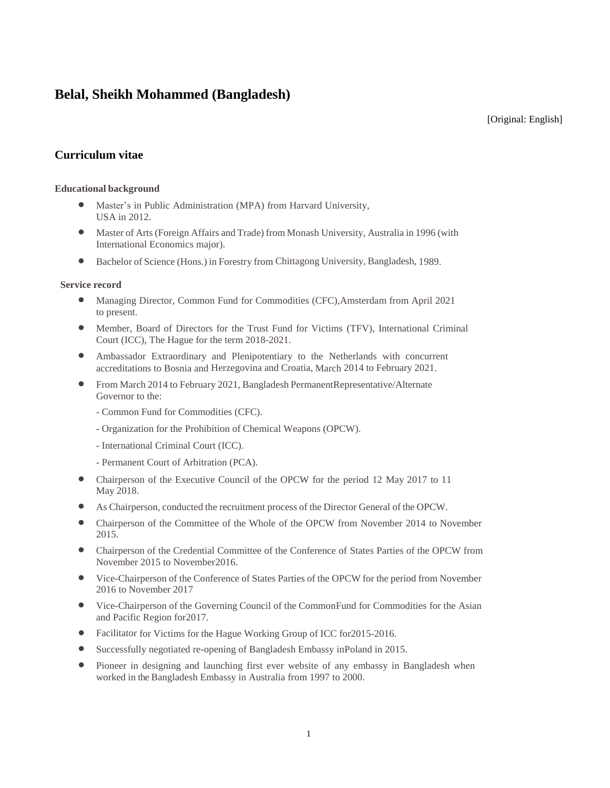# **Belal, Sheikh Mohammed (Bangladesh)**

[Original: English]

## **Curriculum vitae**

## **Educational background**

- Master's in Public Administration (MPA) from Harvard University, USA in 2012.
- Master of Arts (Foreign Affairs and Trade) from Monash University, Australia in 1996 (with International Economics major).
- Bachelor of Science (Hons.) in Forestry from Chittagong University, Bangladesh, 1989.

## **Service record**

- Managing Director, Common Fund for Commodities (CFC),Amsterdam from April 2021 to present.
- Member, Board of Directors for the Trust Fund for Victims (TFV), International Criminal Court (ICC), The Hague for the term 2018-2021.
- Ambassador Extraordinary and Plenipotentiary to the Netherlands with concurrent accreditations to Bosnia and Herzegovina and Croatia, March 2014 to February 2021.
- From March 2014 to February 2021, Bangladesh PermanentRepresentative/Alternate Governor to the:
	- Common Fund for Commodities (CFC).
	- Organization for the Prohibition of Chemical Weapons (OPCW).
	- International Criminal Court (ICC).
	- Permanent Court of Arbitration (PCA).
- Chairperson of the Executive Council of the OPCW for the period 12 May 2017 to 11 May 2018.
- As Chairperson, conducted the recruitment process of the Director General of the OPCW.
- Chairperson of the Committee of the Whole of the OPCW from November 2014 to November 2015.
- Chairperson of the Credential Committee of the Conference of States Parties of the OPCW from November 2015 to November2016.
- Vice-Chairperson of the Conference of States Parties of the OPCW for the period from November 2016 to November 2017
- Vice-Chairperson of the Governing Council of the CommonFund for Commodities for the Asian and Pacific Region for2017.
- Facilitator for Victims for the Hague Working Group of ICC for 2015-2016.
- Successfully negotiated re-opening of Bangladesh Embassy inPoland in 2015.
- Pioneer in designing and launching first ever website of any embassy in Bangladesh when worked in the Bangladesh Embassy in Australia from 1997 to 2000.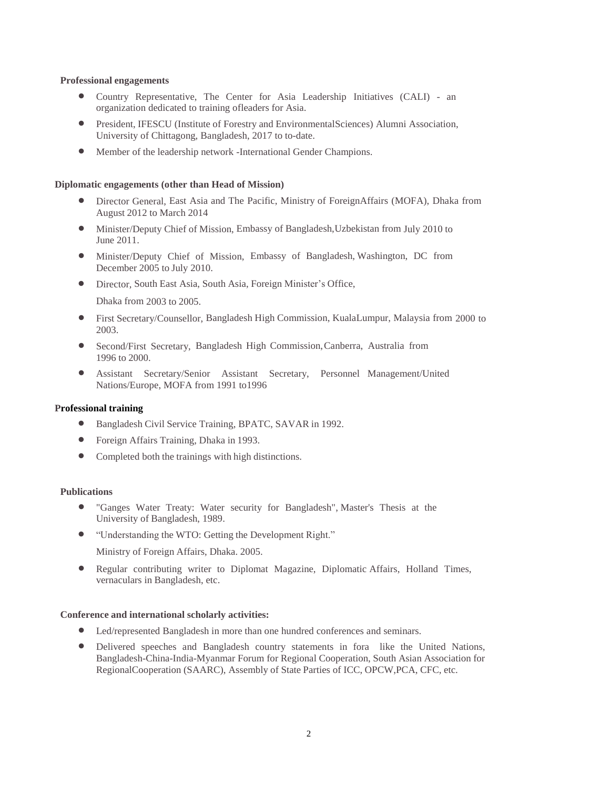#### **Professional engagements**

- Country Representative, The Center for Asia Leadership Initiatives (CALI) an organization dedicated to training ofleaders for Asia.
- President, IFESCU (Institute of Forestry and EnvironmentalSciences) Alumni Association, University of Chittagong, Bangladesh, 2017 to to-date.
- Member of the leadership network -International Gender Champions.

#### **Diplomatic engagements (other than Head of Mission)**

- Director General, East Asia and The Pacific, Ministry of ForeignAffairs (MOFA), Dhaka from August 2012 to March 2014
- Minister/Deputy Chief of Mission, Embassy of Bangladesh,Uzbekistan from July 2010 to June 2011.
- Minister/Deputy Chief of Mission, Embassy of Bangladesh, Washington, DC from December 2005 to July 2010.
- Director, South East Asia, South Asia, Foreign Minister's Office,

Dhaka from 2003 to 2005.

- First Secretary/Counsellor, Bangladesh High Commission, KualaLumpur, Malaysia from 2000 to 2003.
- Second/First Secretary, Bangladesh High Commission,Canberra, Australia from 1996 to 2000.
- Assistant Secretary/Senior Assistant Secretary, Personnel Management/United Nations/Europe, MOFA from 1991 to1996

#### **Professional training**

- Bangladesh Civil Service Training, BPATC, SAVAR in 1992.
- Foreign Affairs Training, Dhaka in 1993.
- Completed both the trainings with high distinctions.

#### **Publications**

- "Ganges Water Treaty: Water security for Bangladesh", Master's Thesis at the University of Bangladesh, 1989.
- "Understanding the WTO: Getting the Development Right."

Ministry of Foreign Affairs, Dhaka. 2005.

 Regular contributing writer to Diplomat Magazine, Diplomatic Affairs, Holland Times, vernaculars in Bangladesh, etc.

#### **Conference and international scholarly activities:**

- Led/represented Bangladesh in more than one hundred conferences and seminars.
- Delivered speeches and Bangladesh country statements in fora like the United Nations, Bangladesh-China-India-Myanmar Forum for Regional Cooperation, South Asian Association for RegionalCooperation (SAARC), Assembly of State Parties of ICC, OPCW,PCA, CFC, etc.